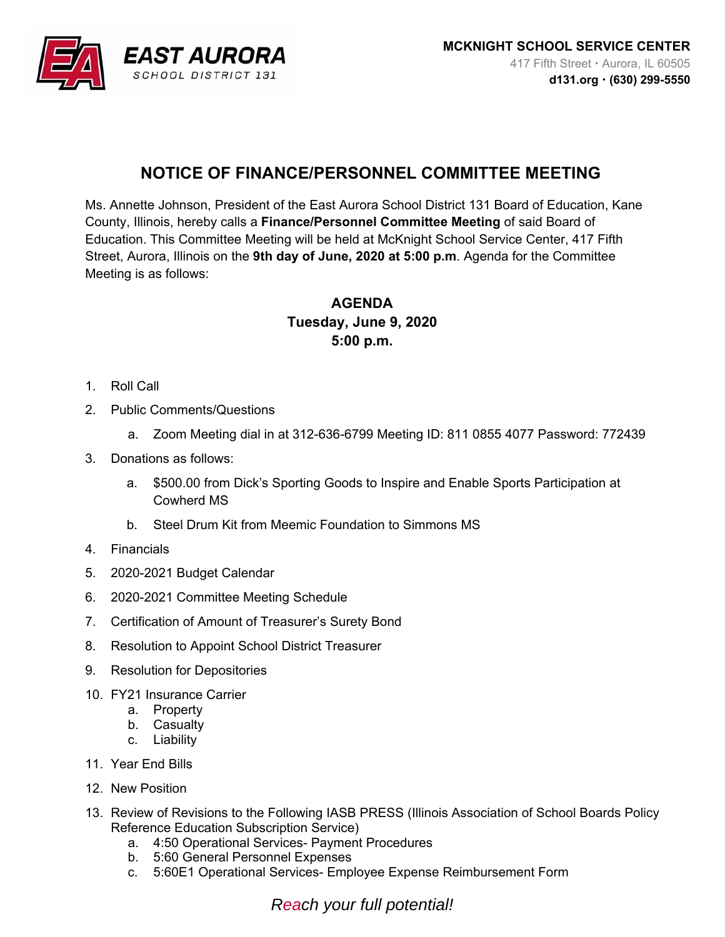

## **NOTICE OF FINANCE/PERSONNEL COMMITTEE MEETING**

Ms. Annette Johnson, President of the East Aurora School District 131 Board of Education, Kane County, Illinois, hereby calls a **Finance/Personnel Committee Meeting** of said Board of Education. This Committee Meeting will be held at McKnight School Service Center, 417 Fifth Street, Aurora, Illinois on the **9th day of June, 2020 at 5:00 p.m**. Agenda for the Committee Meeting is as follows:

## **AGENDA Tuesday, June 9, 2020 5:00 p.m.**

- 1. Roll Call
- 2. Public Comments/Questions
	- a. Zoom Meeting dial in at 312-636-6799 Meeting ID: 811 0855 4077 Password: 772439
- 3. Donations as follows:
	- a. \$500.00 from Dick's Sporting Goods to Inspire and Enable Sports Participation at Cowherd MS
	- b. Steel Drum Kit from Meemic Foundation to Simmons MS
- 4. Financials
- 5. 2020-2021 Budget Calendar
- 6. 2020-2021 Committee Meeting Schedule
- 7. Certification of Amount of Treasurer's Surety Bond
- 8. Resolution to Appoint School District Treasurer
- 9. Resolution for Depositories
- 10. FY21 Insurance Carrier
	- a. Property
	- b. Casualty
	- c. Liability
- 11. Year End Bills
- 12. New Position
- 13. Review of Revisions to the Following IASB PRESS (Illinois Association of School Boards Policy Reference Education Subscription Service)
	- a. 4:50 Operational Services- Payment Procedures
	- b. 5:60 General Personnel Expenses
	- c. 5:60E1 Operational Services- Employee Expense Reimbursement Form

*Reach your full potential!*